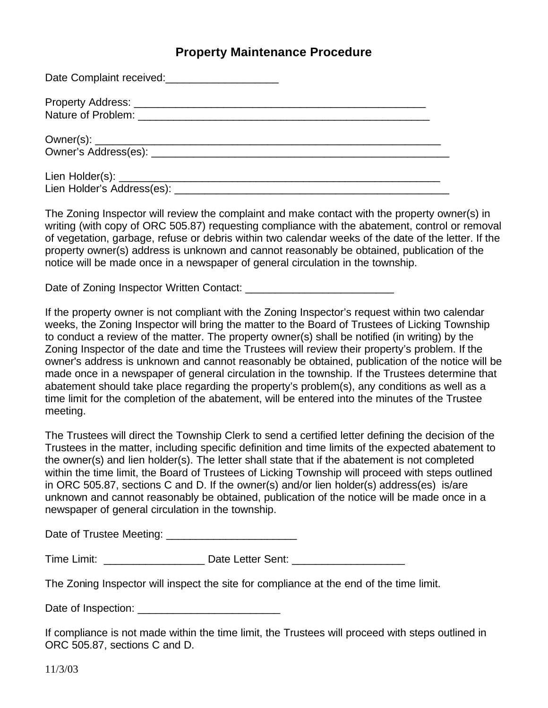## **Property Maintenance Procedure**

| Date Complaint received:<br><u> </u> |  |
|--------------------------------------|--|
|                                      |  |
|                                      |  |
|                                      |  |

The Zoning Inspector will review the complaint and make contact with the property owner(s) in writing (with copy of ORC 505.87) requesting compliance with the abatement, control or removal of vegetation, garbage, refuse or debris within two calendar weeks of the date of the letter. If the property owner(s) address is unknown and cannot reasonably be obtained, publication of the notice will be made once in a newspaper of general circulation in the township.

Date of Zoning Inspector Written Contact: \_\_\_\_\_\_\_\_\_\_\_\_\_\_\_\_\_\_\_\_\_\_\_\_\_

If the property owner is not compliant with the Zoning Inspector's request within two calendar weeks, the Zoning Inspector will bring the matter to the Board of Trustees of Licking Township to conduct a review of the matter. The property owner(s) shall be notified (in writing) by the Zoning Inspector of the date and time the Trustees will review their property's problem. If the owner's address is unknown and cannot reasonably be obtained, publication of the notice will be made once in a newspaper of general circulation in the township. If the Trustees determine that abatement should take place regarding the property's problem(s), any conditions as well as a time limit for the completion of the abatement, will be entered into the minutes of the Trustee meeting.

The Trustees will direct the Township Clerk to send a certified letter defining the decision of the Trustees in the matter, including specific definition and time limits of the expected abatement to the owner(s) and lien holder(s). The letter shall state that if the abatement is not completed within the time limit, the Board of Trustees of Licking Township will proceed with steps outlined in ORC 505.87, sections C and D. If the owner(s) and/or lien holder(s) address(es) is/are unknown and cannot reasonably be obtained, publication of the notice will be made once in a newspaper of general circulation in the township.

| Date of Trustee Meeting: |  |
|--------------------------|--|
|--------------------------|--|

Time Limit: \_\_\_\_\_\_\_\_\_\_\_\_\_\_\_\_\_\_\_\_\_ Date Letter Sent: \_\_\_\_\_\_\_\_\_\_\_\_\_\_\_\_\_\_\_\_\_\_\_\_\_\_\_\_

The Zoning Inspector will inspect the site for compliance at the end of the time limit.

Date of Inspection: \_\_\_\_\_\_\_\_\_\_\_\_\_\_\_\_\_\_\_\_\_\_\_\_

If compliance is not made within the time limit, the Trustees will proceed with steps outlined in ORC 505.87, sections C and D.

11/3/03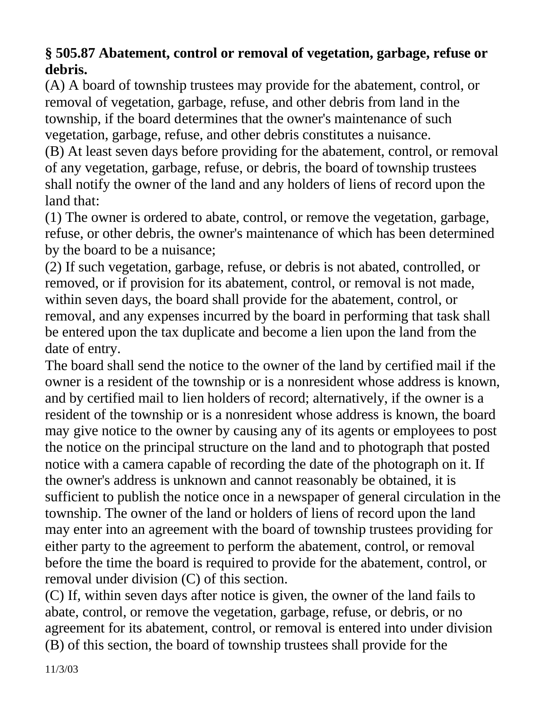## **§ 505.87 Abatement, control or removal of vegetation, garbage, refuse or debris.**

(A) A board of township trustees may provide for the abatement, control, or removal of vegetation, garbage, refuse, and other debris from land in the township, if the board determines that the owner's maintenance of such vegetation, garbage, refuse, and other debris constitutes a nuisance.

(B) At least seven days before providing for the abatement, control, or removal of any vegetation, garbage, refuse, or debris, the board of township trustees shall notify the owner of the land and any holders of liens of record upon the land that:

(1) The owner is ordered to abate, control, or remove the vegetation, garbage, refuse, or other debris, the owner's maintenance of which has been determined by the board to be a nuisance;

(2) If such vegetation, garbage, refuse, or debris is not abated, controlled, or removed, or if provision for its abatement, control, or removal is not made, within seven days, the board shall provide for the abatement, control, or removal, and any expenses incurred by the board in performing that task shall be entered upon the tax duplicate and become a lien upon the land from the date of entry.

The board shall send the notice to the owner of the land by certified mail if the owner is a resident of the township or is a nonresident whose address is known, and by certified mail to lien holders of record; alternatively, if the owner is a resident of the township or is a nonresident whose address is known, the board may give notice to the owner by causing any of its agents or employees to post the notice on the principal structure on the land and to photograph that posted notice with a camera capable of recording the date of the photograph on it. If the owner's address is unknown and cannot reasonably be obtained, it is sufficient to publish the notice once in a newspaper of general circulation in the township. The owner of the land or holders of liens of record upon the land may enter into an agreement with the board of township trustees providing for either party to the agreement to perform the abatement, control, or removal before the time the board is required to provide for the abatement, control, or removal under division (C) of this section.

(C) If, within seven days after notice is given, the owner of the land fails to abate, control, or remove the vegetation, garbage, refuse, or debris, or no agreement for its abatement, control, or removal is entered into under division (B) of this section, the board of township trustees shall provide for the